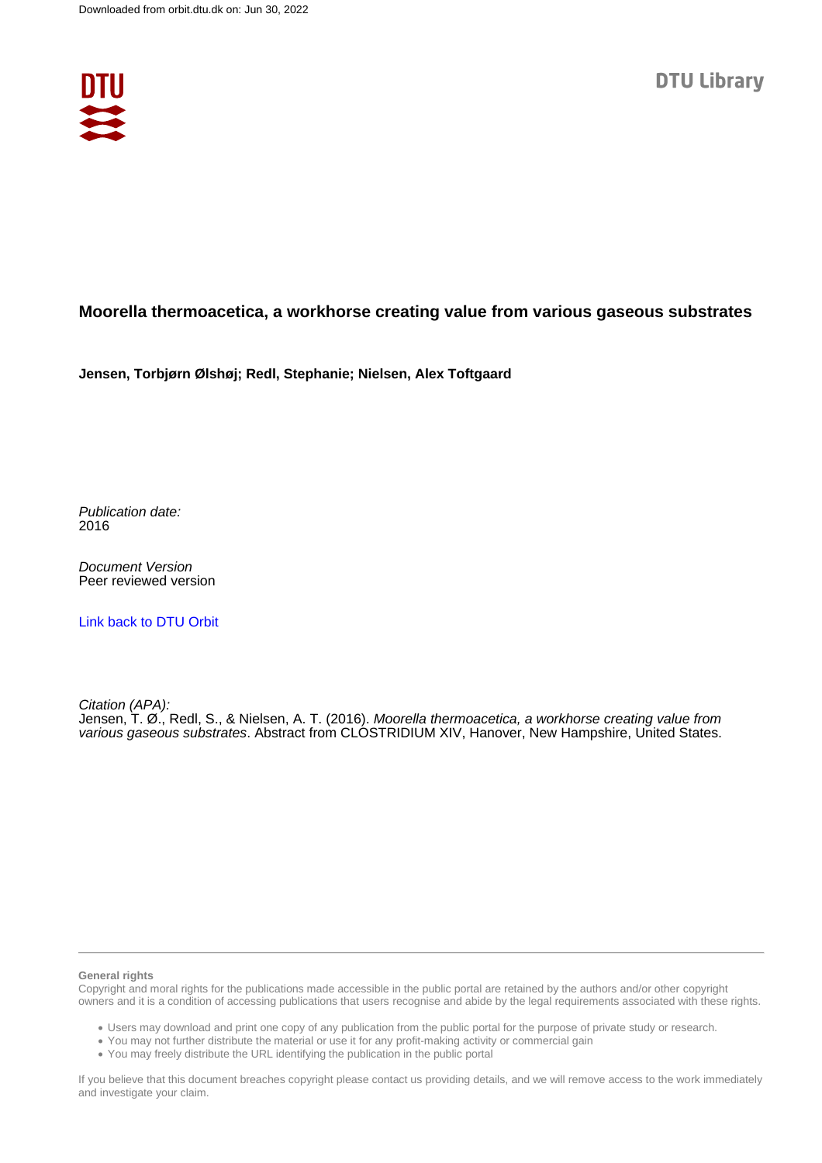

## **Moorella thermoacetica, a workhorse creating value from various gaseous substrates**

**Jensen, Torbjørn Ølshøj; Redl, Stephanie; Nielsen, Alex Toftgaard**

Publication date: 2016

Document Version Peer reviewed version

[Link back to DTU Orbit](https://orbit.dtu.dk/en/publications/dbcb139c-fd85-4b3c-a7e3-4ed1cd466bce)

Citation (APA): Jensen, T. Ø., Redl, S., & Nielsen, A. T. (2016). Moorella thermoacetica, a workhorse creating value from various gaseous substrates. Abstract from CLOSTRIDIUM XIV, Hanover, New Hampshire, United States.

## **General rights**

Copyright and moral rights for the publications made accessible in the public portal are retained by the authors and/or other copyright owners and it is a condition of accessing publications that users recognise and abide by the legal requirements associated with these rights.

Users may download and print one copy of any publication from the public portal for the purpose of private study or research.

- You may not further distribute the material or use it for any profit-making activity or commercial gain
- You may freely distribute the URL identifying the publication in the public portal

If you believe that this document breaches copyright please contact us providing details, and we will remove access to the work immediately and investigate your claim.